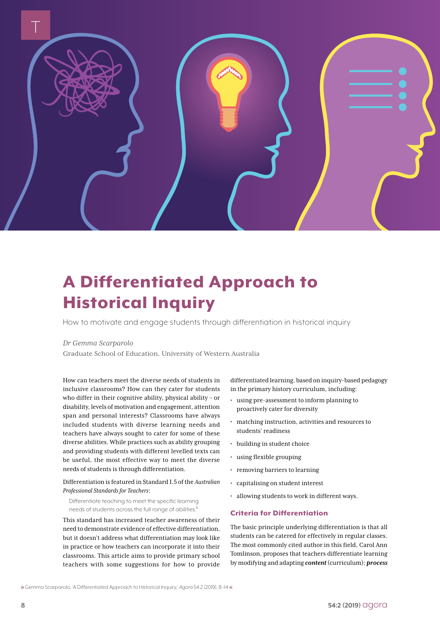

## A Differentiated Approach to Historical Inquiry

How to motivate and engage students through differentiation in historical inquiry

#### *Dr Gemma Scarparolo*

Graduate School of Education, University of Western Australia

How can teachers meet the diverse needs of students in inclusive classrooms? How can they cater for students who differ in their cognitive ability, physical ability – or disability, levels of motivation and engagement, attention span and personal interests? Classrooms have always included students with diverse learning needs and teachers have always sought to cater for some of these diverse abilities. While practices such as ability grouping and providing students with different levelled texts can be useful, the most effective way to meet the diverse needs of students is through differentiation.

#### Differentiation is featured in Standard 1.5 of the *Australian Professional Standards for Teachers*:

Differentiate teaching to meet the specific learning needs of students across the full range of abilities.<sup>1</sup>

This standard has increased teacher awareness of their need to demonstrate evidence of effective differentiation, but it doesn't address what differentiation may look like in practice or how teachers can incorporate it into their classrooms. This article aims to provide primary school teachers with some suggestions for how to provide

differentiated learning, based on inquiry-based pedagogy in the primary history curriculum, including:

- using pre-assessment to inform planning to proactively cater for diversity
- matching instruction, activities and resources to students' readiness
- building in student choice
- using flexible grouping
- removing barriers to learning
- capitalising on student interest
- allowing students to work in different ways.

#### Criteria for Differentiation

The basic principle underlying differentiation is that all students can be catered for effectively in regular classes. The most commonly cited author in this field, Carol Ann Tomlinson, proposes that teachers differentiate learning by modifying and adapting *content* (curriculum); *process*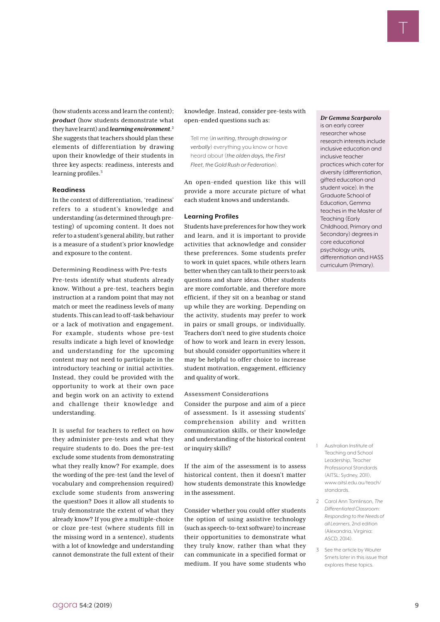(how students access and learn the content); *product* (how students demonstrate what they have learnt) and *learning environment*. 2 She suggests that teachers should plan these elements of differentiation by drawing upon their knowledge of their students in three key aspects: readiness, interests and learning profiles.<sup>3</sup>

#### **Readiness**

In the context of differentiation, 'readiness' refers to a student's knowledge and understanding (as determined through pretesting) of upcoming content. It does not refer to a student's general ability, but rather is a measure of a student's prior knowledge and exposure to the content.

**Determining Readiness with Pre-tests**

Pre-tests identify what students already know. Without a pre-test, teachers begin instruction at a random point that may not match or meet the readiness levels of many students. This can lead to off-task behaviour or a lack of motivation and engagement. For example, students whose pre-test results indicate a high level of knowledge and understanding for the upcoming content may not need to participate in the introductory teaching or initial activities. Instead, they could be provided with the opportunity to work at their own pace and begin work on an activity to extend and challenge their knowledge and understanding.

It is useful for teachers to reflect on how they administer pre-tests and what they require students to do. Does the pre-test exclude some students from demonstrating what they really know? For example, does the wording of the pre-test (and the level of vocabulary and comprehension required) exclude some students from answering the question? Does it allow all students to truly demonstrate the extent of what they already know? If you give a multiple-choice or cloze pre-test (where students fill in the missing word in a sentence), students with a lot of knowledge and understanding cannot demonstrate the full extent of their

knowledge. Instead, consider pre-tests with open-ended questions such as:

Tell me (*in writing, through drawing or verbally*) everything you know or have heard about (*the olden days, the First Fleet, the Gold Rush or Federation*).

An open-ended question like this will provide a more accurate picture of what each student knows and understands.

#### **Learning Profiles**

Students have preferences for how they work and learn, and it is important to provide activities that acknowledge and consider these preferences. Some students prefer to work in quiet spaces, while others learn better when they can talk to their peers to ask questions and share ideas. Other students are more comfortable, and therefore more efficient, if they sit on a beanbag or stand up while they are working. Depending on the activity, students may prefer to work in pairs or small groups, or individually. Teachers don't need to give students choice of how to work and learn in every lesson, but should consider opportunities where it may be helpful to offer choice to increase student motivation, engagement, efficiency and quality of work.

#### **Assessment Considerations**

Consider the purpose and aim of a piece of assessment. Is it assessing students' comprehension ability and written communication skills, or their knowledge and understanding of the historical content or inquiry skills?

If the aim of the assessment is to assess historical content, then it doesn't matter how students demonstrate this knowledge in the assessment.

Consider whether you could offer students the option of using assistive technology (such as speech-to-text software) to increase their opportunities to demonstrate what they truly know, rather than what they can communicate in a specified format or medium. If you have some students who

#### *Dr Gemma Scarparolo*

T

T

is an early career researcher whose research interests include inclusive education and inclusive teacher practices which cater for diversity (differentiation, gifted education and student voice). In the Graduate School of Education, Gemma teaches in the Master of Teaching (Early Childhood, Primary and Secondary) degrees in core educational psychology units, differentiation and HASS curriculum (Primary).

- 1 Australian Institute of Teaching and School Leadership, Teacher Professional Standards (AITSL: Sydney, 2011), [www.aitsl.edu.au/teach/](https://www.aitsl.edu.au/teach/standards) [standards](https://www.aitsl.edu.au/teach/standards).
- 2 Carol Ann Tomlinson, *The Differentiated Classroom: Responding to the Needs of all Learners*, 2nd edition (Alexandria, Virginia: ASCD, 2014).
- 3 See the article by Wouter Smets later in this issue that explores these topics.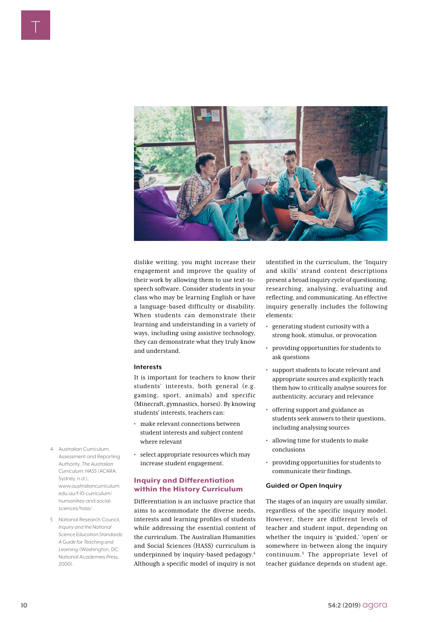

dislike writing, you might increase their engagement and improve the quality of their work by allowing them to use text-tospeech software. Consider students in your class who may be learning English or have a language-based difficulty or disability. When students can demonstrate their learning and understanding in a variety of ways, including using assistive technology, they can demonstrate what they truly know and understand.

#### **Interests**

It is important for teachers to know their students' interests, both general (e.g. gaming, sport, animals) and specific (Minecraft, gymnastics, horses). By knowing students' interests, teachers can:

- make relevant connections between student interests and subject content where relevant
- select appropriate resources which may increase student engagement.

#### Inquiry and Differentiation within the History Curriculum

Differentiation is an inclusive practice that aims to accommodate the diverse needs, interests and learning profiles of students while addressing the essential content of the curriculum. The Australian Humanities and Social Sciences (HASS) curriculum is underpinned by inquiry-based pedagogy.4 Although a specific model of inquiry is not

identified in the curriculum, the 'Inquiry and skills' strand content descriptions present a broad inquiry cycle of questioning, researching, analysing, evaluating and reflecting, and communicating. An effective inquiry generally includes the following elements:

- generating student curiosity with a strong hook, stimulus, or provocation
- providing opportunities for students to ask questions
- support students to locate relevant and appropriate sources and explicitly teach them how to critically analyse sources for authenticity, accuracy and relevance
- offering support and guidance as students seek answers to their questions, including analysing sources
- allowing time for students to make conclusions
- providing opportunities for students to communicate their findings.

#### **Guided or Open Inquiry**

The stages of an inquiry are usually similar, regardless of the specific inquiry model. However, there are different levels of teacher and student input, depending on whether the inquiry is 'guided,' 'open' or somewhere in-between along the inquiry continuum.5 The appropriate level of teacher guidance depends on student age,

- 4 Australian Curriculum, Assessment and Reporting Authority, *The Australian Curriculum: HASS* (ACARA: Sydney, n.d.), www.[australiancurriculum.](http://www.australiancurriculum.edu.au/f-10-curriculum/humanities-and-social-sciences/hass/) [edu.au/f-10-curriculum/](http://www.australiancurriculum.edu.au/f-10-curriculum/humanities-and-social-sciences/hass/) [humanities-and-social](http://www.australiancurriculum.edu.au/f-10-curriculum/humanities-and-social-sciences/hass/)[sciences/hass/](http://www.australiancurriculum.edu.au/f-10-curriculum/humanities-and-social-sciences/hass/).
- 5 National Research Council, *Inquiry and the National Science Education Standards: A Guide for Teaching and Learning* (Washington, DC: National Academies Press, 2000).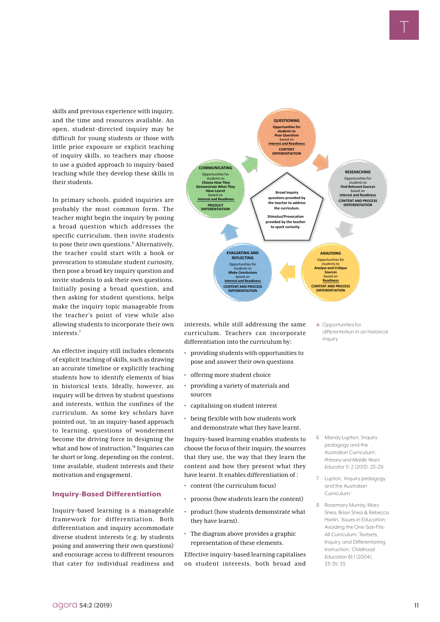skills and previous experience with inquiry, and the time and resources available. An open, student-directed inquiry may be difficult for young students or those with little prior exposure or explicit teaching of inquiry skills, so teachers may choose to use a guided approach to inquiry-based teaching while they develop these skills in their students.

In primary schools, guided inquiries are probably the most common form. The teacher might begin the inquiry by posing a broad question which addresses the specific curriculum, then invite students to pose their own questions.<sup>6</sup> Alternatively, the teacher could start with a hook or provocation to stimulate student curiosity, then pose a broad key inquiry question and invite students to ask their own questions. Initially posing a broad question, and then asking for student questions, helps make the inquiry topic manageable from the teacher's point of view while also allowing students to incorporate their own interests<sup>7</sup>

An effective inquiry still includes elements of explicit teaching of skills, such as drawing an accurate timeline or explicitly teaching students how to identify elements of bias in historical texts. Ideally, however, an inquiry will be driven by student questions and interests, within the confines of the curriculum. As some key scholars have pointed out, 'in an inquiry-based approach to learning, questions of wonderment become the driving force in designing the what and how of instruction.'8 Inquiries can be short or long, depending on the content, time available, student interests and their motivation and engagement.

#### Inquiry-Based Differentiation

Inquiry-based learning is a manageable framework for differentiation. Both differentiation and inquiry accommodate diverse student interests (e.g. by students posing and answering their own questions) and encourage access to different resources that cater for individual readiness and



interests, while still addressing the same curriculum. Teachers can incorporate differentiation into the curriculum by:

- providing students with opportunities to pose and answer their own questions
- offering more student choice
- providing a variety of materials and sources
- capitalising on student interest
- being flexible with how students work and demonstrate what they have learnt.

Inquiry-based learning enables students to choose the focus of their inquiry, the sources that they use, the way that they learn the content and how they present what they have learnt. It enables differentiation of :

- content (the curriculum focus)
- process (how students learn the content)
- product (how students demonstrate what they have learnt).
- The diagram above provides a graphic representation of these elements.

Effective inquiry-based learning capitalises on student interests, both broad and Opportunities for differentiation in an historical inquiry

- 6 Mandy Lupton, 'Inquiry pedagogy and the Australian Curriculum,' *Primary and Middle Years Educator* 11: 2 (2013): 23–29.
- 7 Lupton, 'Inquiry pedagogy and the Australian Curriculum.'
- 8 Rosemary Murray, Mary Shea, Brian Shea & Rebecca Harlin, 'Issues in Education: Avoiding the One-Size-Fits-All Curriculum: Textsets, Inquiry, and Differentiating Instruction,' *Childhood Education* 81:1 (2004), 33–35: 33.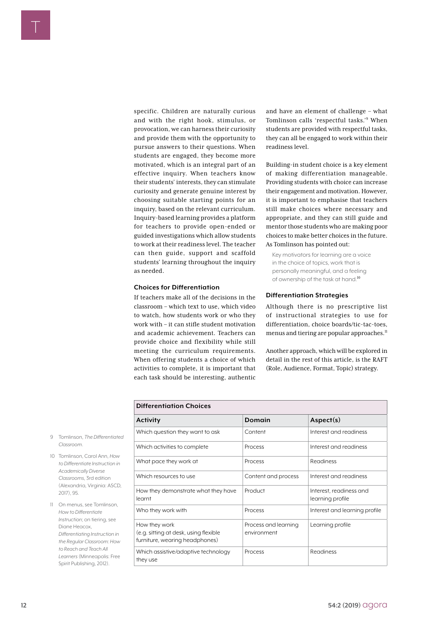specific. Children are naturally curious and with the right hook, stimulus, or provocation, we can harness their curiosity and provide them with the opportunity to pursue answers to their questions. When students are engaged, they become more motivated, which is an integral part of an effective inquiry. When teachers know their students' interests, they can stimulate curiosity and generate genuine interest by choosing suitable starting points for an inquiry, based on the relevant curriculum. Inquiry-based learning provides a platform for teachers to provide open-ended or guided investigations which allow students to work at their readiness level. The teacher can then guide, support and scaffold students' learning throughout the inquiry as needed.

#### **Choices for Differentiation**

If teachers make all of the decisions in the classroom – which text to use, which video to watch, how students work or who they work with – it can stifle student motivation and academic achievement. Teachers can provide choice and flexibility while still meeting the curriculum requirements. When offering students a choice of which activities to complete, it is important that each task should be interesting, authentic and have an element of challenge – what Tomlinson calls 'respectful tasks.'9 When students are provided with respectful tasks, they can all be engaged to work within their readiness level.

Building-in student choice is a key element of making differentiation manageable. Providing students with choice can increase their engagement and motivation. However, it is important to emphasise that teachers still make choices where necessary and appropriate, and they can still guide and mentor those students who are making poor choices to make better choices in the future. As Tomlinson has pointed out:

Key motivators for learning are a voice in the choice of topics, work that is personally meaningful, and a feeling of ownership of the task at hand.10

#### **Differentiation Strategies**

Although there is no prescriptive list of instructional strategies to use for differentiation, choice boards/tic-tac-toes, menus and tiering are popular approaches.<sup>11</sup>

Another approach, which will be explored in detail in the rest of this article, is the RAFT (Role, Audience, Format, Topic) strategy.

| <b>Differentiation Choices</b>                                                           |                                     |                                             |  |  |  |
|------------------------------------------------------------------------------------------|-------------------------------------|---------------------------------------------|--|--|--|
| <b>Activity</b>                                                                          | Domain                              | Aspect(s)                                   |  |  |  |
| Which question they want to ask                                                          | Content                             | Interest and readiness                      |  |  |  |
| Which activities to complete                                                             | Process                             | Interest and readiness                      |  |  |  |
| What pace they work at                                                                   | Process                             | Readiness                                   |  |  |  |
| Which resources to use                                                                   | Content and process                 | Interest and readiness                      |  |  |  |
| How they demonstrate what they have<br>learnt                                            | Product                             | Interest, readiness and<br>learning profile |  |  |  |
| Who they work with                                                                       | Process                             | Interest and learning profile               |  |  |  |
| How they work<br>(e.g. sitting at desk, using flexible<br>furniture, wearing headphones) | Process and learning<br>environment | Learning profile                            |  |  |  |
| Which assistive/adaptive technology<br>they use                                          | Process                             | Readiness                                   |  |  |  |

- 9 Tomlinson, *The Differentiated Classroom*.
- 10 Tomlinson, Carol Ann, *How to Differentiate Instruction in Academically Diverse Classrooms*, 3rd edition (Alexandria, Virginia: ASCD, 2017), 95.

11 On menus, see Tomlinson, *How to Differentiate Instruction*; on tiering, see Diane Heacox, *Differentiating Instruction in the Regular Classroom: How to Reach and Teach All Learners* (Minneapolis: Free Spirit Publishing, 2012).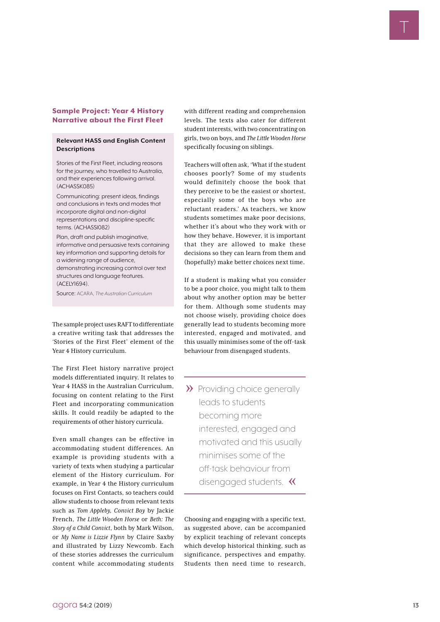#### Sample Project: Year 4 History Narrative about the First Fleet

#### **Relevant HASS and English Content Descriptions**

Stories of the First Fleet, including reasons for the journey, who travelled to Australia, and their experiences following arrival. (ACHASSK085)

Communicating: present ideas, findings and conclusions in texts and modes that incorporate digital and non-digital representations and discipline-specific terms. (ACHASSI082)

Plan, draft and publish imaginative, informative and persuasive texts containing key information and supporting details for a widening range of audience, demonstrating increasing control over text structures and language features. (ACELY1694).

Source: ACARA, *The Australian Curriculum*

The sample project uses RAFT to differentiate a creative writing task that addresses the 'Stories of the First Fleet' element of the Year 4 History curriculum.

The First Fleet history narrative project models differentiated inquiry. It relates to Year 4 HASS in the Australian Curriculum, focusing on content relating to the First Fleet and incorporating communication skills. It could readily be adapted to the requirements of other history curricula.

Somple Project: Year 4 History with different recompant comprehension<br>
Remember of the First Flict in the first of the first of the first of the first of the first of the first of the first of the first of the first of th Even small changes can be effective in accommodating student differences. An example is providing students with a variety of texts when studying a particular element of the History curriculum. For example, in Year 4 the History curriculum focuses on First Contacts, so teachers could allow students to choose from relevant texts such as *Tom Appleby, Convict Boy* by Jackie French, *The Little Wooden Horse* or *Beth: The Story of a Child Convict*, both by Mark Wilson, or *My Name is Lizzie Flynn* by Claire Saxby and illustrated by Lizzy Newcomb. Each of these stories addresses the curriculum content while accommodating students

with different reading and comprehension levels. The texts also cater for different student interests, with two concentrating on girls, two on boys, and *The Little Wooden Horse* specifically focusing on siblings.

Teachers will often ask, 'What if the student chooses poorly? Some of my students would definitely choose the book that they perceive to be the easiest or shortest, especially some of the boys who are reluctant readers.' As teachers, we know students sometimes make poor decisions, whether it's about who they work with or how they behave. However, it is important that they are allowed to make these decisions so they can learn from them and (hopefully) make better choices next time.

If a student is making what you consider to be a poor choice, you might talk to them about why another option may be better for them. Although some students may not choose wisely, providing choice does generally lead to students becoming more interested, engaged and motivated, and this usually minimises some of the off-task behaviour from disengaged students.

>> Providing choice generally leads to students becoming more interested, engaged and motivated and this usually minimises some of the off-task behaviour from disengaged students. <

Choosing and engaging with a specific text, as suggested above, can be accompanied by explicit teaching of relevant concepts which develop historical thinking, such as significance, perspectives and empathy. Students then need time to research,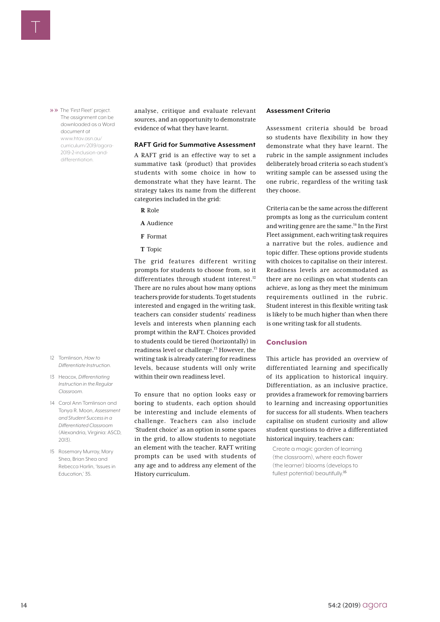» >> The 'First Fleet' project. The assignment can be downloaded as a Word document at [www.htav.asn.au/](https://www.htav.asn.au/curriculum/2019/agora-2019-2-inclusion-and-differentiation) [curriculum/2019/agora-](https://www.htav.asn.au/curriculum/2019/agora-2019-2-inclusion-and-differentiation)[2019-2-inclusion-and](https://www.htav.asn.au/curriculum/2019/agora-2019-2-inclusion-and-differentiation)[differentiation](https://www.htav.asn.au/curriculum/2019/agora-2019-2-inclusion-and-differentiation).

- 12 Tomlinson, *How to Differentiate Instruction*.
- 13 Heacox, *Differentiating Instruction in the Regular Classroom*.
- 14 Carol Ann Tomlinson and Tonya R. Moon, *Assessment and Student Success in a Differentiated Classroom* (Alexandria, Virginia: ASCD, 2013).
- 15 Rosemary Murray, Mary Shea, Brian Shea and Rebecca Harlin, 'Issues in Education,' 35.

analyse, critique and evaluate relevant sources, and an opportunity to demonstrate evidence of what they have learnt.

#### **RAFT Grid for Summative Assessment**

A RAFT grid is an effective way to set a summative task (product) that provides students with some choice in how to demonstrate what they have learnt. The strategy takes its name from the different categories included in the grid:

- **R** Role
- **A** Audience
- **F** Format
- **T** Topic

The grid features different writing prompts for students to choose from, so it differentiates through student interest.<sup>12</sup> There are no rules about how many options teachers provide for students. To get students interested and engaged in the writing task, teachers can consider students' readiness levels and interests when planning each prompt within the RAFT. Choices provided to students could be tiered (horizontally) in readiness level or challenge.<sup>13</sup> However, the writing task is already catering for readiness levels, because students will only write within their own readiness level.

To ensure that no option looks easy or boring to students, each option should be interesting and include elements of challenge. Teachers can also include 'Student choice' as an option in some spaces in the grid, to allow students to negotiate an element with the teacher. RAFT writing prompts can be used with students of any age and to address any element of the History curriculum.

#### **Assessment Criteria**

Assessment criteria should be broad so students have flexibility in how they demonstrate what they have learnt. The rubric in the sample assignment includes deliberately broad criteria so each student's writing sample can be assessed using the one rubric, regardless of the writing task they choose.

Criteria can be the same across the different prompts as long as the curriculum content and writing genre are the same.14 In the First Fleet assignment, each writing task requires a narrative but the roles, audience and topic differ. These options provide students with choices to capitalise on their interest. Readiness levels are accommodated as there are no ceilings on what students can achieve, as long as they meet the minimum requirements outlined in the rubric. Student interest in this flexible writing task is likely to be much higher than when there is one writing task for all students.

#### Conclusion

This article has provided an overview of differentiated learning and specifically of its application to historical inquiry. Differentiation, as an inclusive practice, provides a framework for removing barriers to learning and increasing opportunities for success for all students. When teachers capitalise on student curiosity and allow student questions to drive a differentiated historical inquiry, teachers can:

Create a magic garden of learning (the classroom), where each flower (the learner) blooms (develops to fullest potential) beautifully.<sup>15</sup>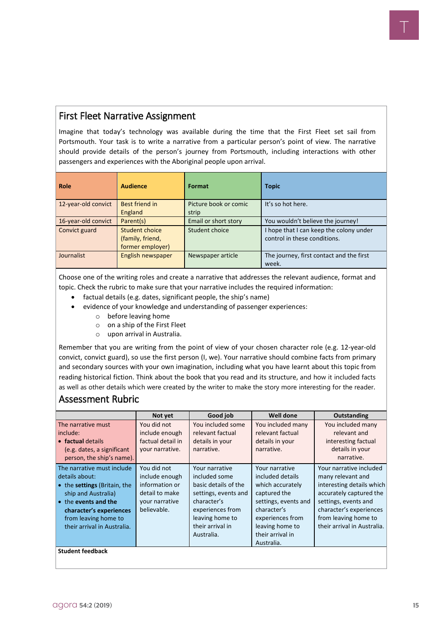### First Fleet Narrative Assignment

Imagine that today's technology was available during the time that the First Fleet set sail from Portsmouth. Your task is to write a narrative from a particular person's point of view. The narrative should provide details of the person's journey from Portsmouth, including interactions with other passengers and experiences with the Aboriginal people upon arrival.

| Role                | <b>Audience</b>   | Format                | <b>Topic</b>                             |
|---------------------|-------------------|-----------------------|------------------------------------------|
| 12-year-old convict | Best friend in    | Picture book or comic | It's so hot here.                        |
|                     | England           | strip                 |                                          |
| 16-year-old convict | Parent(s)         | Email or short story  | You wouldn't believe the journey!        |
| Convict guard       | Student choice    | Student choice        | I hope that I can keep the colony under  |
|                     | (family, friend,  |                       | control in these conditions.             |
|                     | former employer)  |                       |                                          |
| Journalist          | English newspaper | Newspaper article     | The journey, first contact and the first |
|                     |                   |                       | week.                                    |

Choose one of the writing roles and create a narrative that addresses the relevant audience, format and topic. Check the rubric to make sure that your narrative includes the required information:

- factual details (e.g. dates, significant people, the ship's name)
- evidence of your knowledge and understanding of passenger experiences:
	- o before leaving home
	- o on a ship of the First Fleet
	- o upon arrival in Australia.

Remember that you are writing from the point of view of your chosen character role (e.g. 12-year-old convict, convict guard), so use the first person (I, we). Your narrative should combine facts from primary and secondary sources with your own imagination, including what you have learnt about this topic from reading historical fiction. Think about the book that you read and its structure, and how it included facts as well as other details which were created by the writer to make the story more interesting for the reader.

#### Assessment Rubric

|                                              | Not yet                       | Good job                        | Well done                           | <b>Outstanding</b>                           |  |  |
|----------------------------------------------|-------------------------------|---------------------------------|-------------------------------------|----------------------------------------------|--|--|
| The narrative must                           | You did not                   | You included some               | You included many                   | You included many                            |  |  |
| include:                                     | include enough                | relevant factual                | relevant factual                    | relevant and                                 |  |  |
| • factual details                            | factual detail in             | details in your                 | details in your                     | interesting factual                          |  |  |
| (e.g. dates, a significant                   | your narrative.               | narrative.                      | narrative.                          | details in your                              |  |  |
| person, the ship's name).                    |                               |                                 |                                     | narrative.                                   |  |  |
| The narrative must include<br>details about: | You did not<br>include enough | Your narrative<br>included some | Your narrative<br>included details  | Your narrative included<br>many relevant and |  |  |
| • the <b>settings</b> (Britain, the          | information or                | basic details of the            | which accurately                    | interesting details which                    |  |  |
| ship and Australia)                          | detail to make                | settings, events and            | captured the                        | accurately captured the                      |  |  |
| • the events and the                         | your narrative                | character's                     | settings, events and                | settings, events and                         |  |  |
| character's experiences                      | believable.                   | experiences from                | character's                         | character's experiences                      |  |  |
| from leaving home to                         |                               | leaving home to                 | experiences from                    | from leaving home to                         |  |  |
| their arrival in Australia.                  |                               | their arrival in                | leaving home to<br>their arrival in | their arrival in Australia.                  |  |  |
|                                              |                               | Australia.                      |                                     |                                              |  |  |
|                                              |                               |                                 | Australia.                          |                                              |  |  |
| <b>Student feedback</b>                      |                               |                                 |                                     |                                              |  |  |
|                                              |                               |                                 |                                     |                                              |  |  |